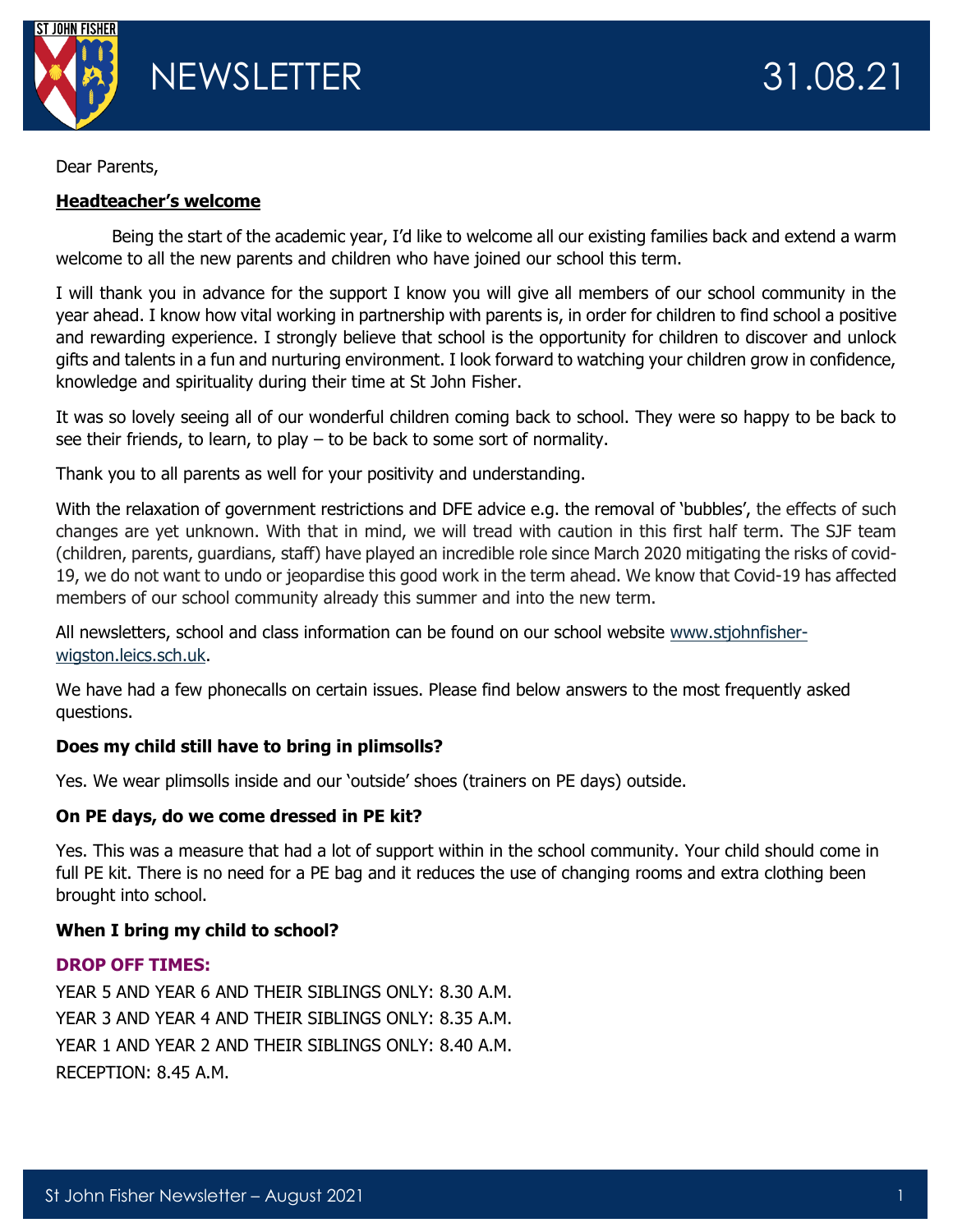

Dear Parents,

# **Headteacher's welcome**

Being the start of the academic year, I'd like to welcome all our existing families back and extend a warm welcome to all the new parents and children who have joined our school this term.

I will thank you in advance for the support I know you will give all members of our school community in the year ahead. I know how vital working in partnership with parents is, in order for children to find school a positive and rewarding experience. I strongly believe that school is the opportunity for children to discover and unlock gifts and talents in a fun and nurturing environment. I look forward to watching your children grow in confidence, knowledge and spirituality during their time at St John Fisher.

It was so lovely seeing all of our wonderful children coming back to school. They were so happy to be back to see their friends, to learn, to play – to be back to some sort of normality.

Thank you to all parents as well for your positivity and understanding.

With the relaxation of government restrictions and DFE advice e.g. the removal of 'bubbles', the effects of such changes are yet unknown. With that in mind, we will tread with caution in this first half term. The SJF team (children, parents, guardians, staff) have played an incredible role since March 2020 mitigating the risks of covid-19, we do not want to undo or jeopardise this good work in the term ahead. We know that Covid-19 has affected members of our school community already this summer and into the new term.

All newsletters, school and class information can be found on our school website [www.stjohnfisher](http://www.stjohnfisher-wigston.leics.sch.uk/)[wigston.leics.sch.uk.](http://www.stjohnfisher-wigston.leics.sch.uk/)

We have had a few phonecalls on certain issues. Please find below answers to the most frequently asked questions.

# **Does my child still have to bring in plimsolls?**

Yes. We wear plimsolls inside and our 'outside' shoes (trainers on PE days) outside.

# **On PE days, do we come dressed in PE kit?**

Yes. This was a measure that had a lot of support within in the school community. Your child should come in full PE kit. There is no need for a PE bag and it reduces the use of changing rooms and extra clothing been brought into school.

# **When I bring my child to school?**

# **DROP OFF TIMES:**

YEAR 5 AND YEAR 6 AND THEIR SIBLINGS ONLY: 8.30 A.M. YEAR 3 AND YEAR 4 AND THEIR SIBLINGS ONLY: 8.35 A.M. YEAR 1 AND YEAR 2 AND THEIR SIBLINGS ONLY: 8.40 A.M. RECEPTION: 8.45 A.M.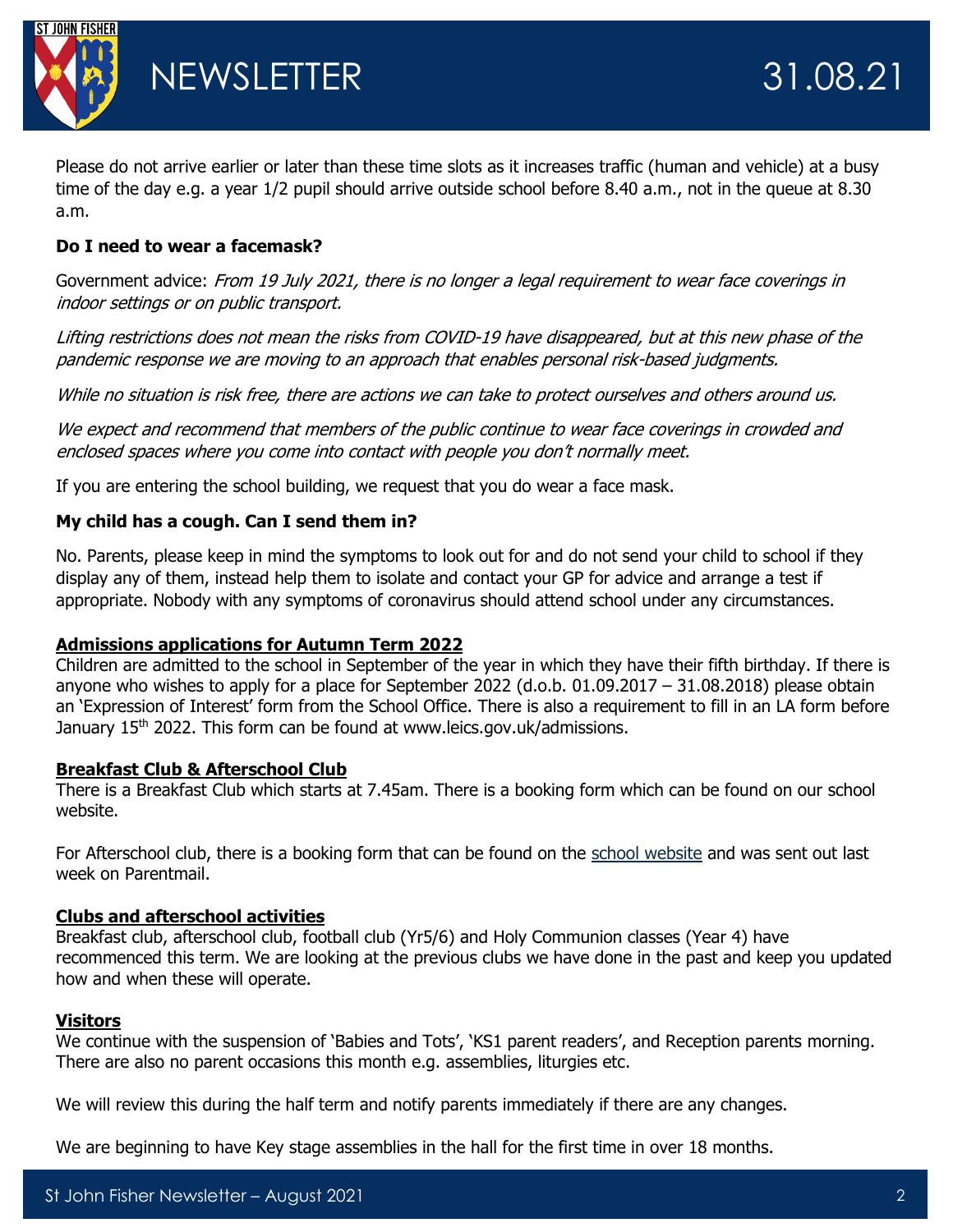

Please do not arrive earlier or later than these time slots as it increases traffic (human and vehicle) at a busy time of the day e.g. a year 1/2 pupil should arrive outside school before 8.40 a.m., not in the queue at 8.30 a.m.

### **Do I need to wear a facemask?**

Government advice: From 19 July 2021, there is no longer a legal requirement to wear face coverings in indoor settings or on public transport.

Lifting restrictions does not mean the risks from COVID-19 have disappeared, but at this new phase of the pandemic response we are moving to an approach that enables personal risk-based judgments.

While no situation is risk free, there are actions we can take to protect ourselves and others around us.

We expect and recommend that members of the public continue to wear face coverings in crowded and enclosed spaces where you come into contact with people you don't normally meet.

If you are entering the school building, we request that you do wear a face mask.

#### **My child has a cough. Can I send them in?**

No. Parents, please keep in mind the symptoms to look out for and do not send your child to school if they display any of them, instead help them to isolate and contact your GP for advice and arrange a test if appropriate. Nobody with any symptoms of coronavirus should attend school under any circumstances.

#### **Admissions applications for Autumn Term 2022**

Children are admitted to the school in September of the year in which they have their fifth birthday. If there is anyone who wishes to apply for a place for September 2022 (d.o.b. 01.09.2017 – 31.08.2018) please obtain an 'Expression of Interest' form from the School Office. There is also a requirement to fill in an LA form before January 15<sup>th</sup> 2022. This form can be found at www.leics.gov.uk/admissions.

#### **Breakfast Club & Afterschool Club**

There is a Breakfast Club which starts at 7.45am. There is a booking form which can be found on our school website.

For Afterschool club, there is a booking form that can be found on the [school website](https://www.stjohnfisher-wigston.leics.sch.uk/parents/after-school-clubs) and was sent out last week on Parentmail.

#### **Clubs and afterschool activities**

Breakfast club, afterschool club, football club (Yr5/6) and Holy Communion classes (Year 4) have recommenced this term. We are looking at the previous clubs we have done in the past and keep you updated how and when these will operate.

#### **Visitors**

We continue with the suspension of 'Babies and Tots', 'KS1 parent readers', and Reception parents morning. There are also no parent occasions this month e.g. assemblies, liturgies etc.

We will review this during the half term and notify parents immediately if there are any changes.

We are beginning to have Key stage assemblies in the hall for the first time in over 18 months.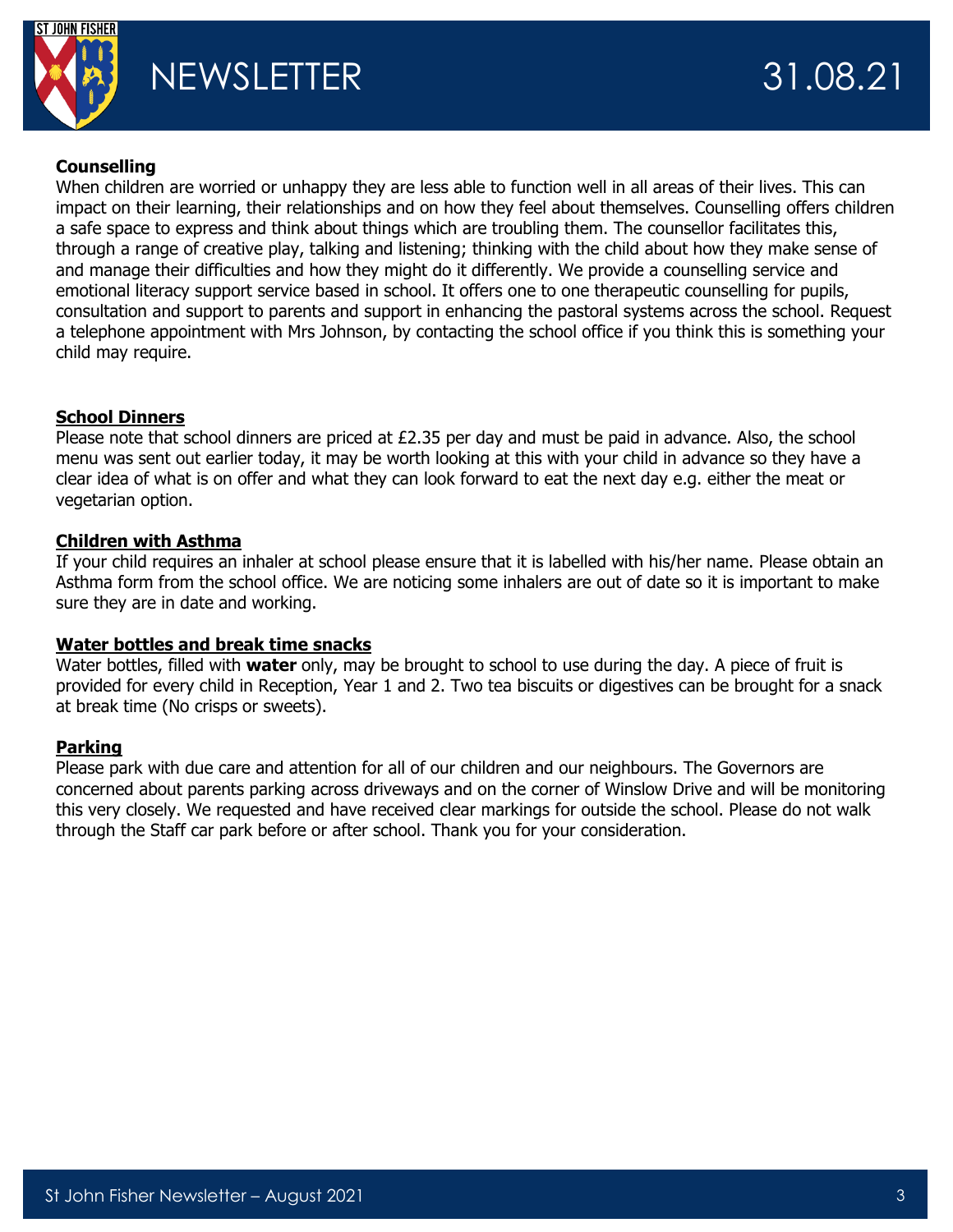

# **Counselling**

When children are worried or unhappy they are less able to function well in all areas of their lives. This can impact on their learning, their relationships and on how they feel about themselves. Counselling offers children a safe space to express and think about things which are troubling them. The counsellor facilitates this, through a range of creative play, talking and listening; thinking with the child about how they make sense of and manage their difficulties and how they might do it differently. We provide a counselling service and emotional literacy support service based in school. It offers one to one therapeutic counselling for pupils, consultation and support to parents and support in enhancing the pastoral systems across the school. Request a telephone appointment with Mrs Johnson, by contacting the school office if you think this is something your child may require.

# **School Dinners**

Please note that school dinners are priced at  $E2.35$  per day and must be paid in advance. Also, the school menu was sent out earlier today, it may be worth looking at this with your child in advance so they have a clear idea of what is on offer and what they can look forward to eat the next day e.g. either the meat or vegetarian option.

#### **Children with Asthma**

If your child requires an inhaler at school please ensure that it is labelled with his/her name. Please obtain an Asthma form from the school office. We are noticing some inhalers are out of date so it is important to make sure they are in date and working.

#### **Water bottles and break time snacks**

Water bottles, filled with **water** only, may be brought to school to use during the day. A piece of fruit is provided for every child in Reception, Year 1 and 2. Two tea biscuits or digestives can be brought for a snack at break time (No crisps or sweets).

# **Parking**

Please park with due care and attention for all of our children and our neighbours. The Governors are concerned about parents parking across driveways and on the corner of Winslow Drive and will be monitoring this very closely. We requested and have received clear markings for outside the school. Please do not walk through the Staff car park before or after school. Thank you for your consideration.